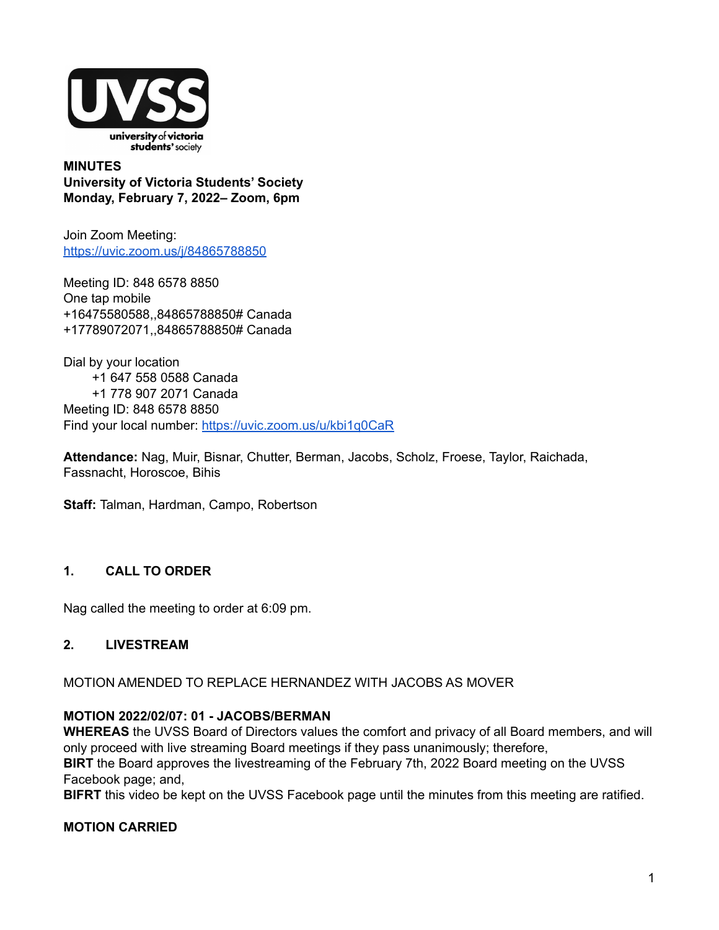

**MINUTES University of Victoria Students' Society Monday, February 7, 2022– Zoom, 6pm**

Join Zoom Meeting: <https://uvic.zoom.us/j/84865788850>

Meeting ID: 848 6578 8850 One tap mobile +16475580588,,84865788850# Canada +17789072071,,84865788850# Canada

Dial by your location +1 647 558 0588 Canada +1 778 907 2071 Canada Meeting ID: 848 6578 8850 Find your local number: <https://uvic.zoom.us/u/kbi1q0CaR>

**Attendance:** Nag, Muir, Bisnar, Chutter, Berman, Jacobs, Scholz, Froese, Taylor, Raichada, Fassnacht, Horoscoe, Bihis

**Staff:** Talman, Hardman, Campo, Robertson

## **1. CALL TO ORDER**

Nag called the meeting to order at 6:09 pm.

#### **2. LIVESTREAM**

MOTION AMENDED TO REPLACE HERNANDEZ WITH JACOBS AS MOVER

#### **MOTION 2022/02/07: 01 - JACOBS/BERMAN**

**WHEREAS** the UVSS Board of Directors values the comfort and privacy of all Board members, and will only proceed with live streaming Board meetings if they pass unanimously; therefore, **BIRT** the Board approves the livestreaming of the February 7th, 2022 Board meeting on the UVSS Facebook page; and,

**BIFRT** this video be kept on the UVSS Facebook page until the minutes from this meeting are ratified.

### **MOTION CARRIED**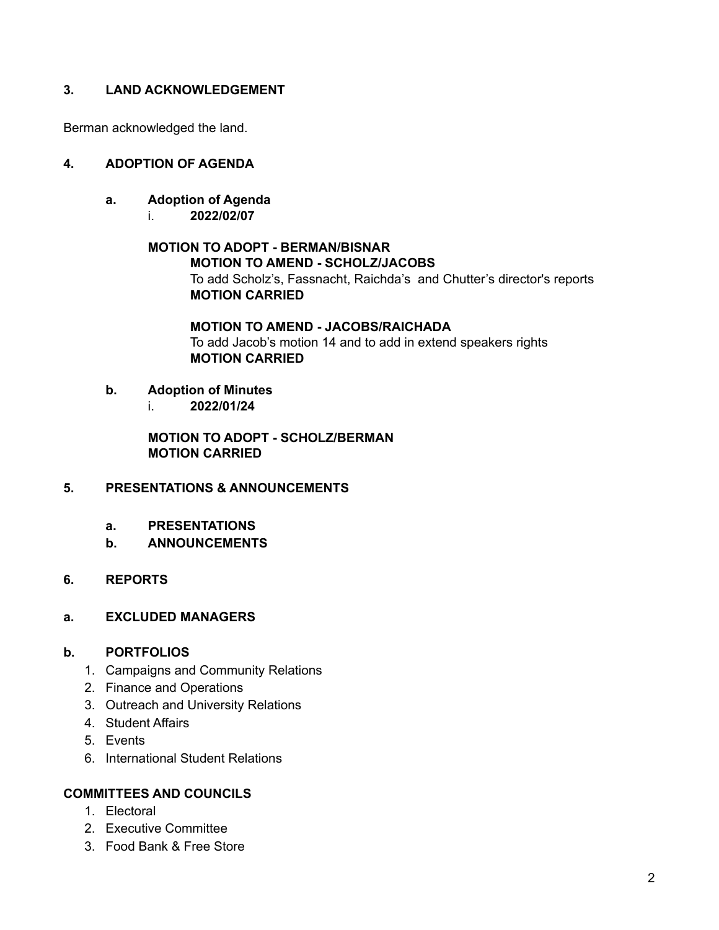## **3. LAND ACKNOWLEDGEMENT**

Berman acknowledged the land.

## **4. ADOPTION OF AGENDA**

- **a. Adoption of Agenda**
	- i. **2022/02/07**

# **MOTION TO ADOPT - BERMAN/BISNAR MOTION TO AMEND - SCHOLZ/JACOBS** To add Scholz's, Fassnacht, Raichda's and Chutter's director's reports **MOTION CARRIED**

#### **MOTION TO AMEND - JACOBS/RAICHADA** To add Jacob's motion 14 and to add in extend speakers rights **MOTION CARRIED**

## **b. Adoption of Minutes**

i. **2022/01/24**

**MOTION TO ADOPT - SCHOLZ/BERMAN MOTION CARRIED**

#### **5. PRESENTATIONS & ANNOUNCEMENTS**

- **a. PRESENTATIONS**
- **b. ANNOUNCEMENTS**
- **6. REPORTS**
- **a. EXCLUDED MANAGERS**

#### **b. PORTFOLIOS**

- 1. Campaigns and Community Relations
- 2. Finance and Operations
- 3. Outreach and University Relations
- 4. Student Affairs
- 5. Events
- 6. International Student Relations

#### **COMMITTEES AND COUNCILS**

- 1. Electoral
- 2. Executive Committee
- 3. Food Bank & Free Store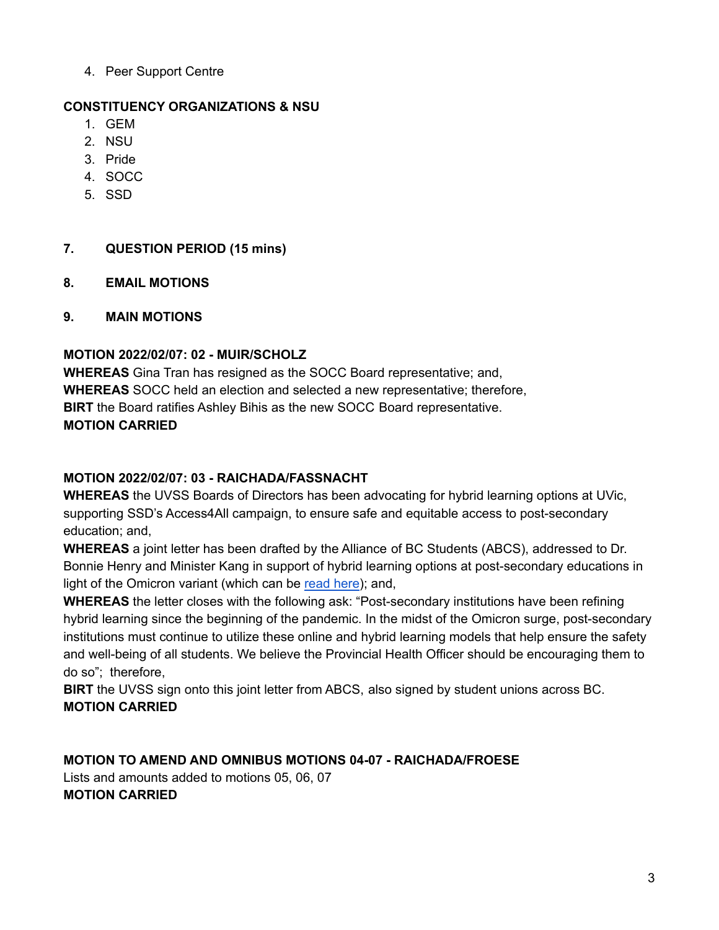4. Peer Support Centre

# **CONSTITUENCY ORGANIZATIONS & NSU**

- 1. GEM
- 2. NSU
- 3. Pride
- 4. SOCC
- 5. SSD

# **7. QUESTION PERIOD (15 mins)**

- **8. EMAIL MOTIONS**
- **9. MAIN MOTIONS**

# **MOTION 2022/02/07: 02 - MUIR/SCHOLZ**

**WHEREAS** Gina Tran has resigned as the SOCC Board representative; and, **WHEREAS** SOCC held an election and selected a new representative; therefore, **BIRT** the Board ratifies Ashley Bihis as the new SOCC Board representative. **MOTION CARRIED**

# **MOTION 2022/02/07: 03 - RAICHADA/FASSNACHT**

**WHEREAS** the UVSS Boards of Directors has been advocating for hybrid learning options at UVic, supporting SSD's Access4All campaign, to ensure safe and equitable access to post-secondary education; and,

**WHEREAS** a joint letter has been drafted by the Alliance of BC Students (ABCS), addressed to Dr. Bonnie Henry and Minister Kang in support of hybrid learning options at post-secondary educations in light of the Omicron variant (which can be [read](https://docs.google.com/document/d/1PXbVaXYabw1ySNbuFdiMzl1y-j4BlAZe1cpiTTPbzjQ/edit) here); and,

**WHEREAS** the letter closes with the following ask: "Post-secondary institutions have been refining hybrid learning since the beginning of the pandemic. In the midst of the Omicron surge, post-secondary institutions must continue to utilize these online and hybrid learning models that help ensure the safety and well-being of all students. We believe the Provincial Health Officer should be encouraging them to do so"; therefore,

**BIRT** the UVSS sign onto this joint letter from ABCS, also signed by student unions across BC. **MOTION CARRIED**

**MOTION TO AMEND AND OMNIBUS MOTIONS 04-07 - RAICHADA/FROESE** Lists and amounts added to motions 05, 06, 07 **MOTION CARRIED**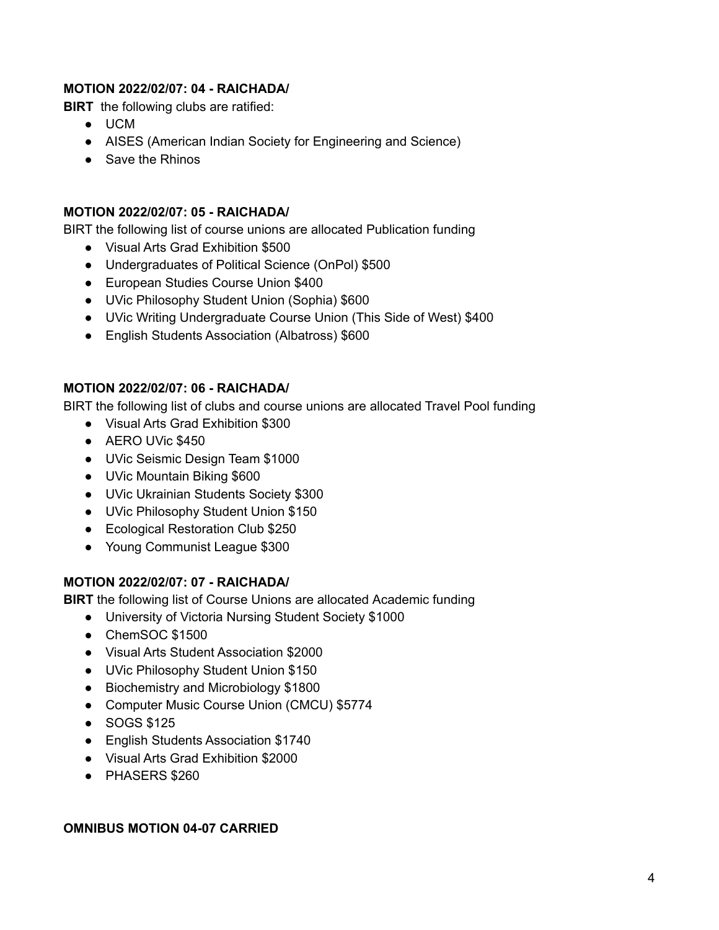## **MOTION 2022/02/07: 04 - RAICHADA/**

**BIRT** the following clubs are ratified:

- UCM
- AISES (American Indian Society for Engineering and Science)
- Save the Rhinos

#### **MOTION 2022/02/07: 05 - RAICHADA/**

BIRT the following list of course unions are allocated Publication funding

- Visual Arts Grad Exhibition \$500
- Undergraduates of Political Science (OnPol) \$500
- European Studies Course Union \$400
- UVic Philosophy Student Union (Sophia) \$600
- UVic Writing Undergraduate Course Union (This Side of West) \$400
- English Students Association (Albatross) \$600

## **MOTION 2022/02/07: 06 - RAICHADA/**

BIRT the following list of clubs and course unions are allocated Travel Pool funding

- Visual Arts Grad Exhibition \$300
- AERO UVic \$450
- UVic Seismic Design Team \$1000
- UVic Mountain Biking \$600
- UVic Ukrainian Students Society \$300
- UVic Philosophy Student Union \$150
- Ecological Restoration Club \$250
- Young Communist League \$300

## **MOTION 2022/02/07: 07 - RAICHADA/**

**BIRT** the following list of Course Unions are allocated Academic funding

- University of Victoria Nursing Student Society \$1000
- ChemSOC \$1500
- Visual Arts Student Association \$2000
- UVic Philosophy Student Union \$150
- Biochemistry and Microbiology \$1800
- Computer Music Course Union (CMCU) \$5774
- SOGS \$125
- English Students Association \$1740
- Visual Arts Grad Exhibition \$2000
- PHASERS \$260

#### **OMNIBUS MOTION 04-07 CARRIED**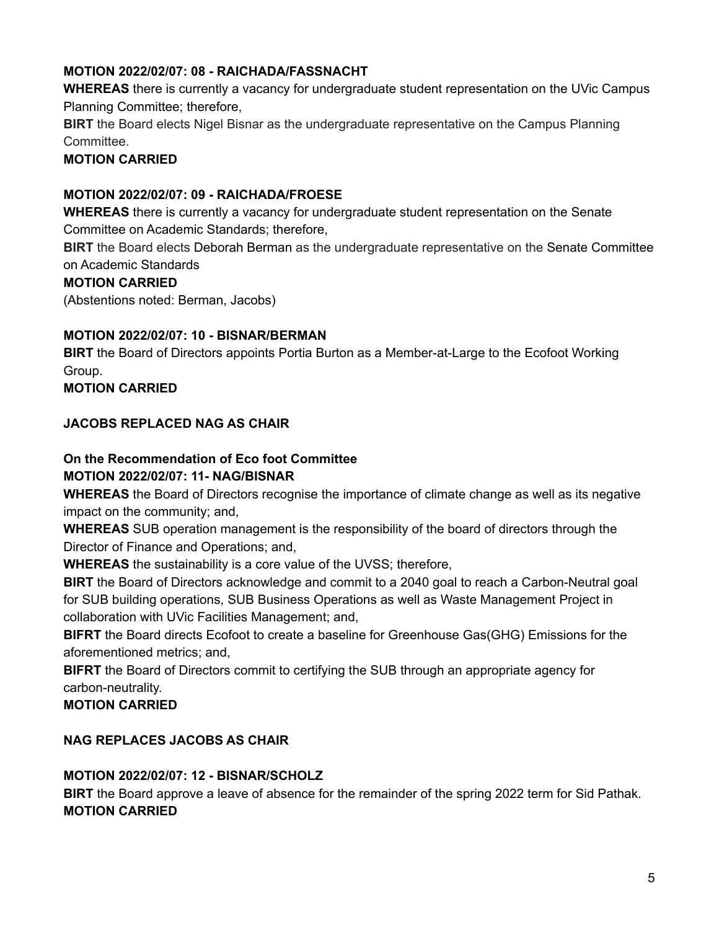# **MOTION 2022/02/07: 08 - RAICHADA/FASSNACHT**

**WHEREAS** there is currently a vacancy for undergraduate student representation on the UVic Campus Planning Committee; therefore,

**BIRT** the Board elects Nigel Bisnar as the undergraduate representative on the Campus Planning Committee.

# **MOTION CARRIED**

## **MOTION 2022/02/07: 09 - RAICHADA/FROESE**

**WHEREAS** there is currently a vacancy for undergraduate student representation on the Senate Committee on Academic Standards; therefore,

**BIRT** the Board elects Deborah Berman as the undergraduate representative on the Senate Committee on Academic Standards

## **MOTION CARRIED**

(Abstentions noted: Berman, Jacobs)

## **MOTION 2022/02/07: 10 - BISNAR/BERMAN**

**BIRT** the Board of Directors appoints Portia Burton as a Member-at-Large to the Ecofoot Working Group.

**MOTION CARRIED**

## **JACOBS REPLACED NAG AS CHAIR**

# **On the Recommendation of Eco foot Committee**

#### **MOTION 2022/02/07: 11- NAG/BISNAR**

**WHEREAS** the Board of Directors recognise the importance of climate change as well as its negative impact on the community; and,

**WHEREAS** SUB operation management is the responsibility of the board of directors through the Director of Finance and Operations; and,

**WHEREAS** the sustainability is a core value of the UVSS; therefore,

**BIRT** the Board of Directors acknowledge and commit to a 2040 goal to reach a Carbon-Neutral goal for SUB building operations, SUB Business Operations as well as Waste Management Project in collaboration with UVic Facilities Management; and,

**BIFRT** the Board directs Ecofoot to create a baseline for Greenhouse Gas(GHG) Emissions for the aforementioned metrics; and,

**BIFRT** the Board of Directors commit to certifying the SUB through an appropriate agency for carbon-neutrality.

## **MOTION CARRIED**

## **NAG REPLACES JACOBS AS CHAIR**

## **MOTION 2022/02/07: 12 - BISNAR/SCHOLZ**

**BIRT** the Board approve a leave of absence for the remainder of the spring 2022 term for Sid Pathak. **MOTION CARRIED**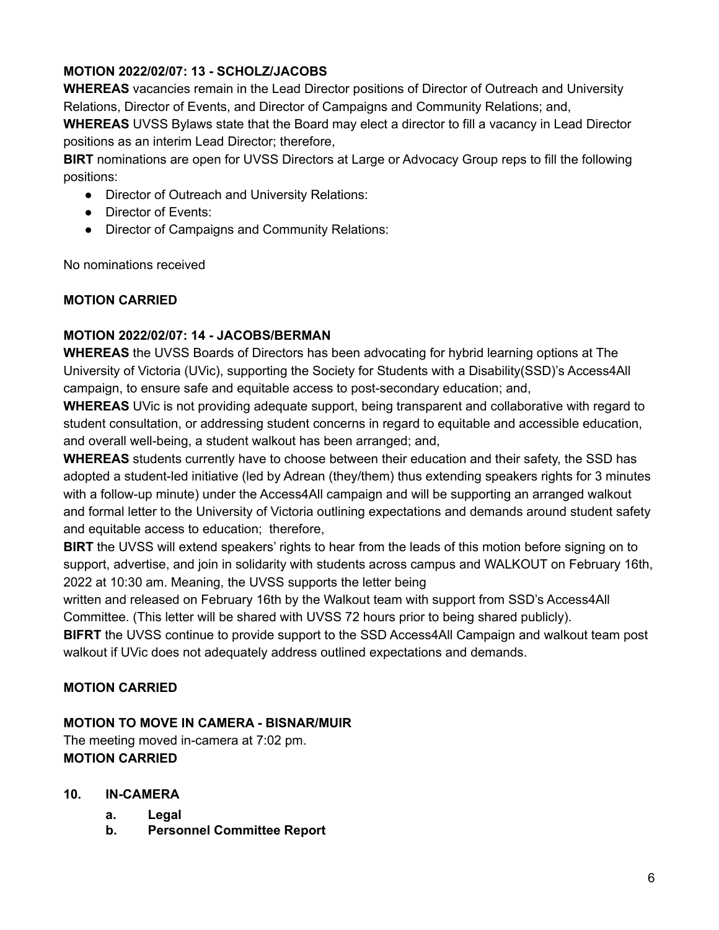# **MOTION 2022/02/07: 13 - SCHOLZ/JACOBS**

**WHEREAS** vacancies remain in the Lead Director positions of Director of Outreach and University Relations, Director of Events, and Director of Campaigns and Community Relations; and,

**WHEREAS** UVSS Bylaws state that the Board may elect a director to fill a vacancy in Lead Director positions as an interim Lead Director; therefore,

**BIRT** nominations are open for UVSS Directors at Large or Advocacy Group reps to fill the following positions:

- Director of Outreach and University Relations:
- Director of Events:
- Director of Campaigns and Community Relations:

No nominations received

# **MOTION CARRIED**

# **MOTION 2022/02/07: 14 - JACOBS/BERMAN**

**WHEREAS** the UVSS Boards of Directors has been advocating for hybrid learning options at The University of Victoria (UVic), supporting the Society for Students with a Disability(SSD)'s Access4All campaign, to ensure safe and equitable access to post-secondary education; and,

**WHEREAS** UVic is not providing adequate support, being transparent and collaborative with regard to student consultation, or addressing student concerns in regard to equitable and accessible education, and overall well-being, a student walkout has been arranged; and,

**WHEREAS** students currently have to choose between their education and their safety, the SSD has adopted a student-led initiative (led by Adrean (they/them) thus extending speakers rights for 3 minutes with a follow-up minute) under the Access4All campaign and will be supporting an arranged walkout and formal letter to the University of Victoria outlining expectations and demands around student safety and equitable access to education; therefore,

**BIRT** the UVSS will extend speakers' rights to hear from the leads of this motion before signing on to support, advertise, and join in solidarity with students across campus and WALKOUT on February 16th, 2022 at 10:30 am. Meaning, the UVSS supports the letter being

written and released on February 16th by the Walkout team with support from SSD's Access4All Committee. (This letter will be shared with UVSS 72 hours prior to being shared publicly).

**BIFRT** the UVSS continue to provide support to the SSD Access4All Campaign and walkout team post walkout if UVic does not adequately address outlined expectations and demands.

# **MOTION CARRIED**

## **MOTION TO MOVE IN CAMERA - BISNAR/MUIR**

The meeting moved in-camera at 7:02 pm. **MOTION CARRIED**

- **10. IN-CAMERA**
	- **a. Legal**
	- **b. Personnel Committee Report**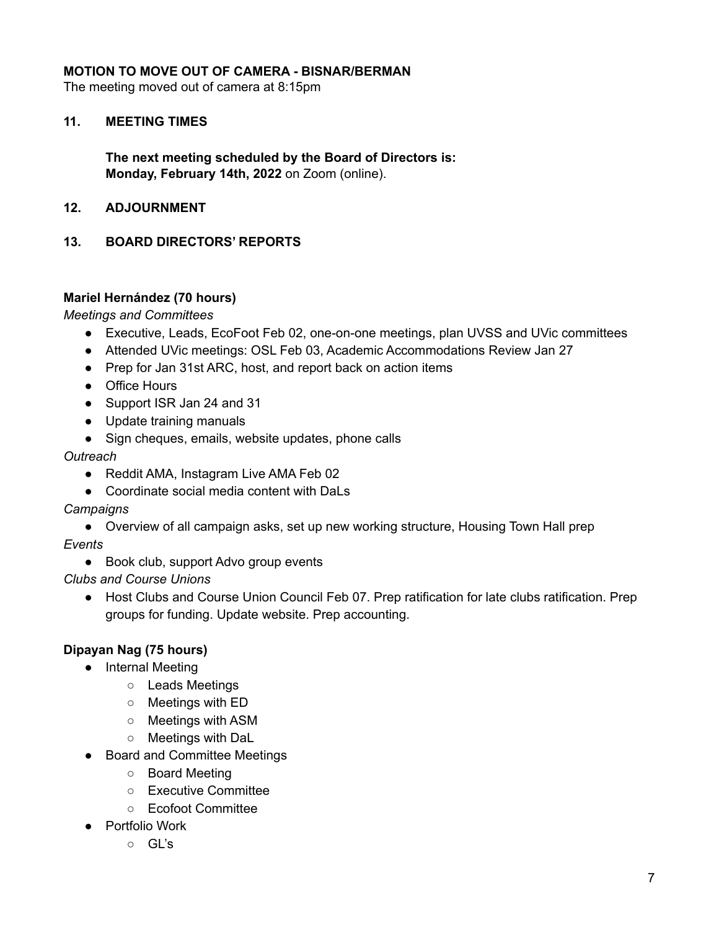## **MOTION TO MOVE OUT OF CAMERA - BISNAR/BERMAN**

The meeting moved out of camera at 8:15pm

#### **11. MEETING TIMES**

**The next meeting scheduled by the Board of Directors is: Monday, February 14th, 2022** on Zoom (online).

#### **12. ADJOURNMENT**

#### **13. BOARD DIRECTORS' REPORTS**

#### **Mariel Hernández (70 hours)**

*Meetings and Committees*

- Executive, Leads, EcoFoot Feb 02, one-on-one meetings, plan UVSS and UVic committees
- Attended UVic meetings: OSL Feb 03, Academic Accommodations Review Jan 27
- Prep for Jan 31st ARC, host, and report back on action items
- Office Hours
- Support ISR Jan 24 and 31
- Update training manuals
- Sign cheques, emails, website updates, phone calls

#### *Outreach*

- Reddit AMA, Instagram Live AMA Feb 02
- Coordinate social media content with DaLs

#### *Campaigns*

● Overview of all campaign asks, set up new working structure, Housing Town Hall prep

#### *Events*

- Book club, support Advo group events
- *Clubs and Course Unions*
	- Host Clubs and Course Union Council Feb 07. Prep ratification for late clubs ratification. Prep groups for funding. Update website. Prep accounting.

#### **Dipayan Nag (75 hours)**

- Internal Meeting
	- Leads Meetings
	- Meetings with ED
	- Meetings with ASM
	- Meetings with DaL
- Board and Committee Meetings
	- Board Meeting
	- Executive Committee
	- Ecofoot Committee
- Portfolio Work
	- GL's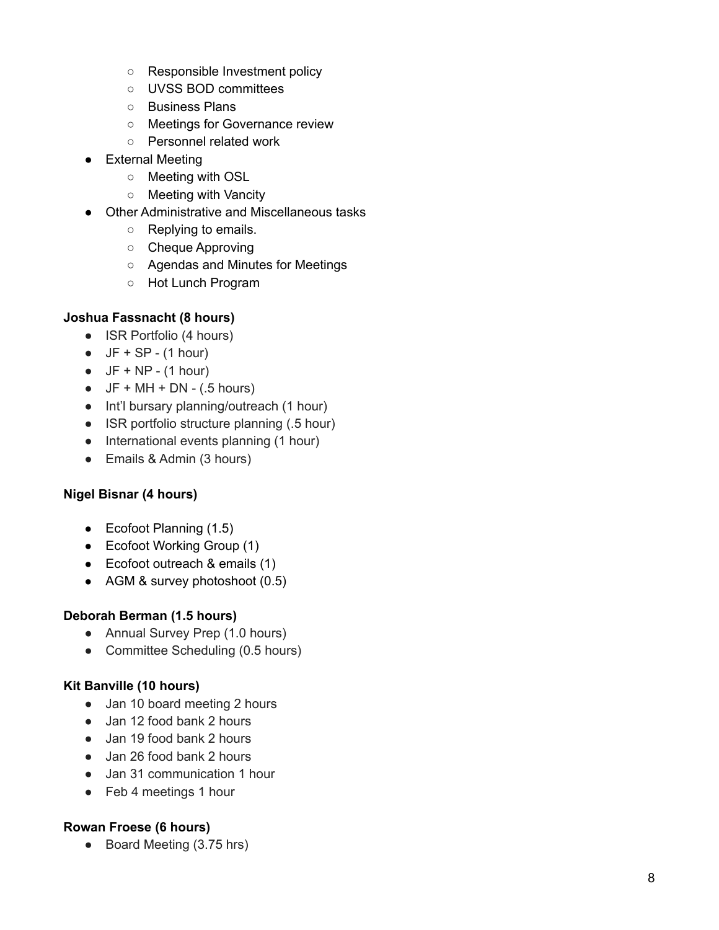- Responsible Investment policy
- UVSS BOD committees
- Business Plans
- Meetings for Governance review
- o Personnel related work
- External Meeting
	- Meeting with OSL
	- Meeting with Vancity
- Other Administrative and Miscellaneous tasks
	- Replying to emails.
	- Cheque Approving
	- Agendas and Minutes for Meetings
	- Hot Lunch Program

## **Joshua Fassnacht (8 hours)**

- ISR Portfolio (4 hours)
- $\bullet$  JF + SP (1 hour)
- $\bullet$  JF + NP (1 hour)
- $JF + MH + DN (.5$  hours)
- Int'l bursary planning/outreach (1 hour)
- ISR portfolio structure planning (.5 hour)
- International events planning (1 hour)
- Emails & Admin (3 hours)

## **Nigel Bisnar (4 hours)**

- Ecofoot Planning (1.5)
- Ecofoot Working Group (1)
- Ecofoot outreach & emails (1)
- AGM & survey photoshoot  $(0.5)$

## Deborah Berman (1.5 hours)

- Annual Survey Prep (1.0 hours)
- Committee Scheduling (0.5 hours)

## **Kit Banville (10 hours)**

- Jan 10 board meeting 2 hours
- Jan 12 food bank 2 hours
- Jan 19 food bank 2 hours
- Jan 26 food bank 2 hours
- Jan 31 communication 1 hour
- Feb 4 meetings 1 hour

## **Rowan Froese (6 hours)**

• Board Meeting (3.75 hrs)